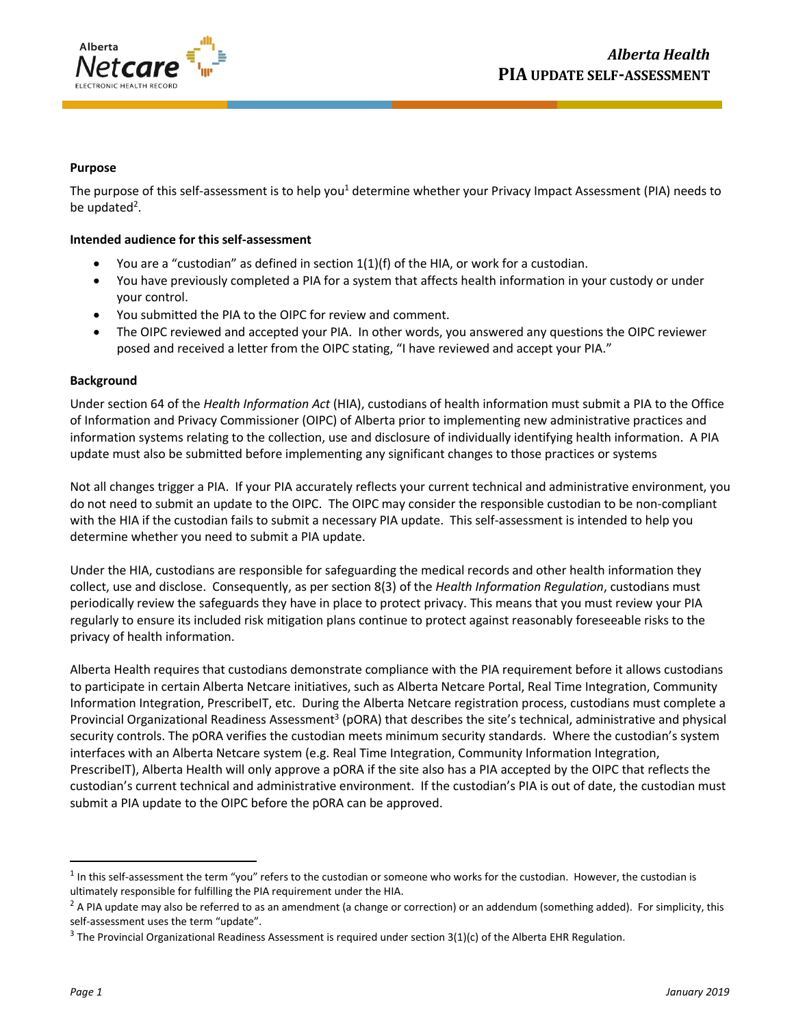

## **Purpose**

The purpose of this self-assessment is to help you<sup>1</sup> determine whether your Privacy Impact Assessment (PIA) needs to be updated<sup>2</sup>.

## **Intended audience for this self-assessment**

- You are a "custodian" as defined in section 1(1)(f) of the HIA, or work for a custodian.
- You have previously completed a PIA for a system that affects health information in your custody or under your control.
- You submitted the PIA to the OIPC for review and comment.
- The OIPC reviewed and accepted your PIA. In other words, you answered any questions the OIPC reviewer posed and received a letter from the OIPC stating, "I have reviewed and accept your PIA."

## **Background**

Under section 64 of the *Health Information Act* (HIA), custodians of health information must submit a PIA to the Office of Information and Privacy Commissioner (OIPC) of Alberta prior to implementing new administrative practices and information systems relating to the collection, use and disclosure of individually identifying health information. A PIA update must also be submitted before implementing any significant changes to those practices or systems

Not all changes trigger a PIA. If your PIA accurately reflects your current technical and administrative environment, you do not need to submit an update to the OIPC. The OIPC may consider the responsible custodian to be non-compliant with the HIA if the custodian fails to submit a necessary PIA update. This self-assessment is intended to help you determine whether you need to submit a PIA update.

Under the HIA, custodians are responsible for safeguarding the medical records and other health information they collect, use and disclose. Consequently, as per section 8(3) of the *Health Information Regulation*, custodians must periodically review the safeguards they have in place to protect privacy. This means that you must review your PIA regularly to ensure its included risk mitigation plans continue to protect against reasonably foreseeable risks to the privacy of health information.

Alberta Health requires that custodians demonstrate compliance with the PIA requirement before it allows custodians to participate in certain Alberta Netcare initiatives, such as Alberta Netcare Portal, Real Time Integration, Community Information Integration, PrescribeIT, etc. During the Alberta Netcare registration process, custodians must complete a Provincial Organizational Readiness Assessment<sup>3</sup> (pORA) that describes the site's technical, administrative and physical security controls. The pORA verifies the custodian meets minimum security standards. Where the custodian's system interfaces with an Alberta Netcare system (e.g. Real Time Integration, Community Information Integration, PrescribeIT), Alberta Health will only approve a pORA if the site also has a PIA accepted by the OIPC that reflects the custodian's current technical and administrative environment. If the custodian's PIA is out of date, the custodian must submit a PIA update to the OIPC before the pORA can be approved.

 $\overline{a}$ 

<sup>&</sup>lt;sup>1</sup> In this self-assessment the term "you" refers to the custodian or someone who works for the custodian. However, the custodian is ultimately responsible for fulfilling the PIA requirement under the HIA.

 $<sup>2</sup>$  A PIA update may also be referred to as an amendment (a change or correction) or an addendum (something added). For simplicity, this</sup> self-assessment uses the term "update".

<sup>&</sup>lt;sup>3</sup> The Provincial Organizational Readiness Assessment is required under section 3(1)(c) of the Alberta EHR Regulation.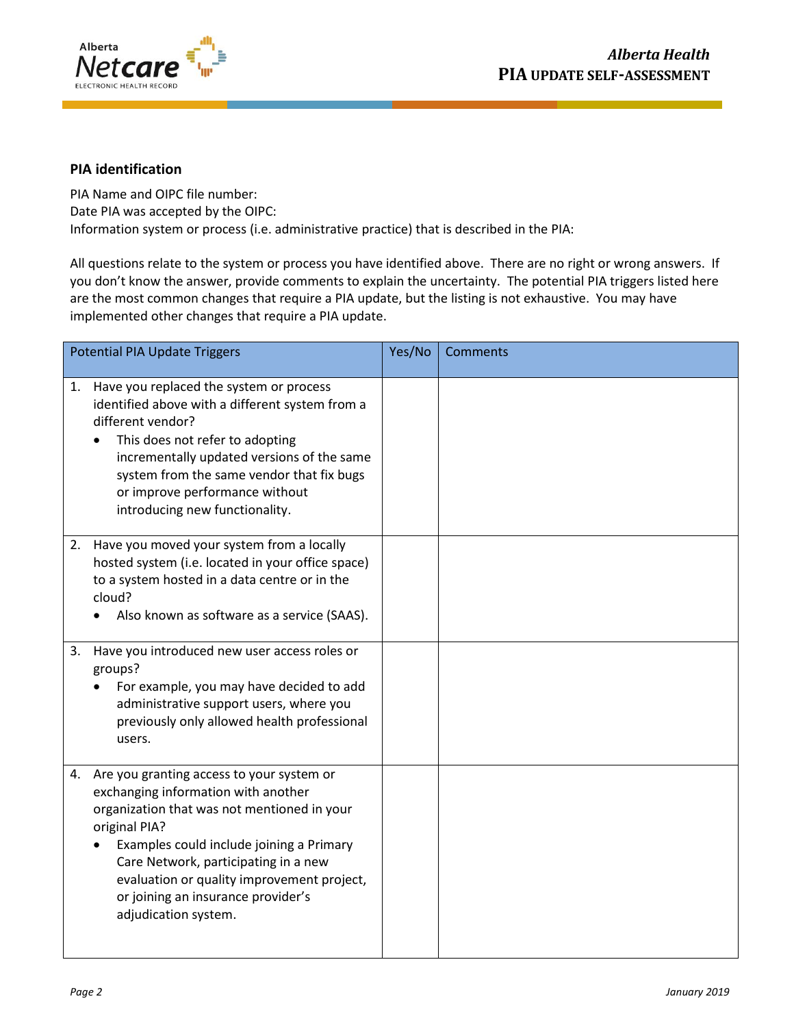

## **PIA identification**

PIA Name and OIPC file number: Date PIA was accepted by the OIPC: Information system or process (i.e. administrative practice) that is described in the PIA:

All questions relate to the system or process you have identified above. There are no right or wrong answers. If you don't know the answer, provide comments to explain the uncertainty. The potential PIA triggers listed here are the most common changes that require a PIA update, but the listing is not exhaustive. You may have implemented other changes that require a PIA update.

| <b>Potential PIA Update Triggers</b>                                                                                                                                                                                                                                                                                                                | Yes/No | <b>Comments</b> |
|-----------------------------------------------------------------------------------------------------------------------------------------------------------------------------------------------------------------------------------------------------------------------------------------------------------------------------------------------------|--------|-----------------|
| 1. Have you replaced the system or process<br>identified above with a different system from a<br>different vendor?<br>This does not refer to adopting<br>incrementally updated versions of the same<br>system from the same vendor that fix bugs<br>or improve performance without<br>introducing new functionality.                                |        |                 |
| 2. Have you moved your system from a locally<br>hosted system (i.e. located in your office space)<br>to a system hosted in a data centre or in the<br>cloud?<br>Also known as software as a service (SAAS).                                                                                                                                         |        |                 |
| 3.<br>Have you introduced new user access roles or<br>groups?<br>For example, you may have decided to add<br>administrative support users, where you<br>previously only allowed health professional<br>users.                                                                                                                                       |        |                 |
| 4. Are you granting access to your system or<br>exchanging information with another<br>organization that was not mentioned in your<br>original PIA?<br>Examples could include joining a Primary<br>Care Network, participating in a new<br>evaluation or quality improvement project,<br>or joining an insurance provider's<br>adjudication system. |        |                 |